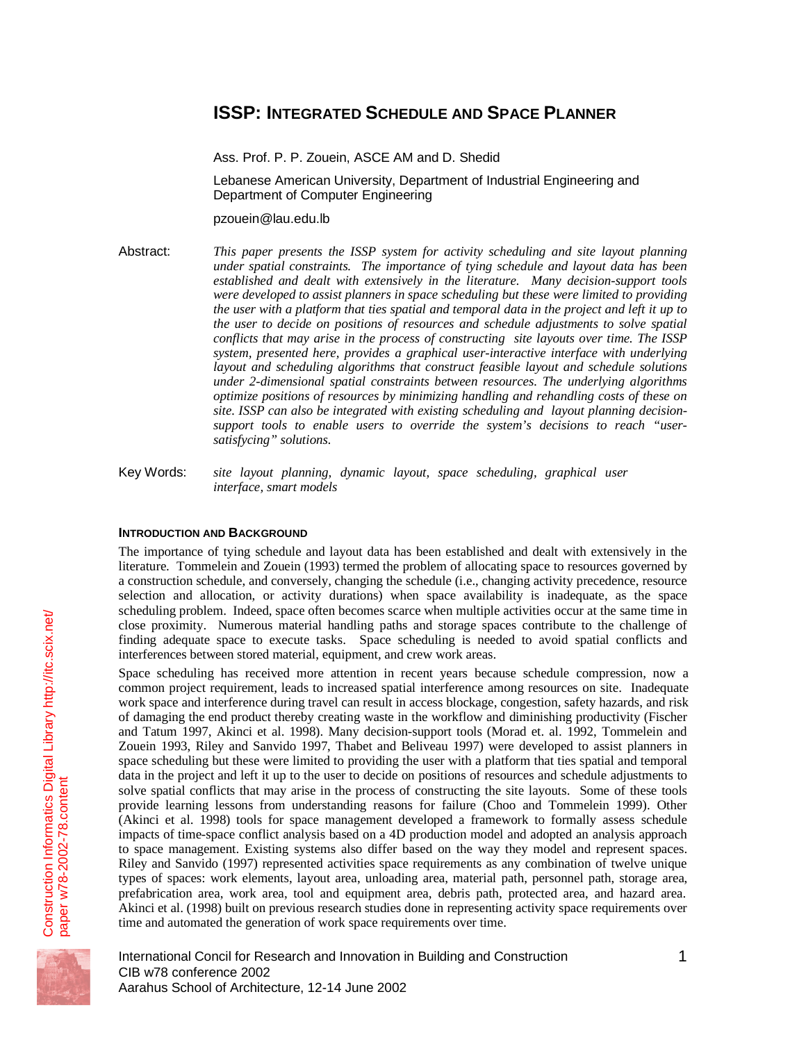# **ISSP: INTEGRATED SCHEDULE AND SPACE PLANNER**

Ass. Prof. P. P. Zouein, ASCE AM and D. Shedid

Lebanese American University, Department of Industrial Engineering and Department of Computer Engineering

pzouein@lau.edu.lb

Abstract: *This paper presents the ISSP system for activity scheduling and site layout planning under spatial constraints. The importance of tying schedule and layout data has been established and dealt with extensively in the literature. Many decision-support tools were developed to assist planners in space scheduling but these were limited to providing the user with a platform that ties spatial and temporal data in the project and left it up to the user to decide on positions of resources and schedule adjustments to solve spatial conflicts that may arise in the process of constructing site layouts over time. The ISSP system, presented here, provides a graphical user-interactive interface with underlying layout and scheduling algorithms that construct feasible layout and schedule solutions under 2-dimensional spatial constraints between resources. The underlying algorithms optimize positions of resources by minimizing handling and rehandling costs of these on site. ISSP can also be integrated with existing scheduling and layout planning decisionsupport tools to enable users to override the system's decisions to reach "usersatisfycing" solutions.*

Key Words: *site layout planning, dynamic layout, space scheduling, graphical user interface, smart models*

## **INTRODUCTION AND BACKGROUND**

The importance of tying schedule and layout data has been established and dealt with extensively in the literature. Tommelein and Zouein (1993) termed the problem of allocating space to resources governed by a construction schedule, and conversely, changing the schedule (i.e., changing activity precedence, resource selection and allocation, or activity durations) when space availability is inadequate, as the space scheduling problem. Indeed, space often becomes scarce when multiple activities occur at the same time in close proximity. Numerous material handling paths and storage spaces contribute to the challenge of finding adequate space to execute tasks. Space scheduling is needed to avoid spatial conflicts and interferences between stored material, equipment, and crew work areas.

Space scheduling has received more attention in recent years because schedule compression, now a common project requirement, leads to increased spatial interference among resources on site. Inadequate work space and interference during travel can result in access blockage, congestion, safety hazards, and risk of damaging the end product thereby creating waste in the workflow and diminishing productivity (Fischer and Tatum 1997, Akinci et al. 1998). Many decision-support tools (Morad et. al. 1992, Tommelein and Zouein 1993, Riley and Sanvido 1997, Thabet and Beliveau 1997) were developed to assist planners in space scheduling but these were limited to providing the user with a platform that ties spatial and temporal data in the project and left it up to the user to decide on positions of resources and schedule adjustments to solve spatial conflicts that may arise in the process of constructing the site layouts. Some of these tools provide learning lessons from understanding reasons for failure (Choo and Tommelein 1999). Other (Akinci et al. 1998) tools for space management developed a framework to formally assess schedule impacts of time-space conflict analysis based on a 4D production model and adopted an analysis approach to space management. Existing systems also differ based on the way they model and represent spaces. Riley and Sanvido (1997) represented activities space requirements as any combination of twelve unique types of spaces: work elements, layout area, unloading area, material path, personnel path, storage area, prefabrication area, work area, tool and equipment area, debris path, protected area, and hazard area. Akinci et al. (1998) built on previous research studies done in representing activity space requirements over time and automated the generation of work space requirements over time.



International Concil for Research and Innovation in Building and Construction 1 CIB w78 conference 2002 Aarahus School of Architecture, 12-14 June 2002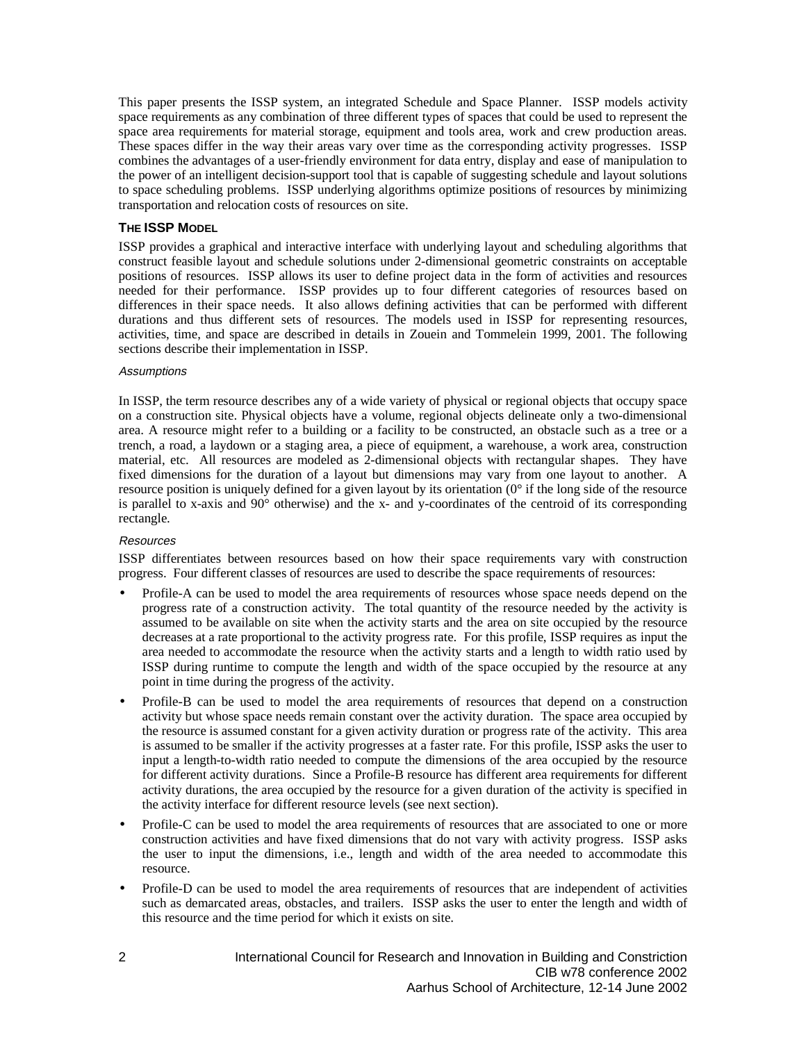This paper presents the ISSP system, an integrated Schedule and Space Planner. ISSP models activity space requirements as any combination of three different types of spaces that could be used to represent the space area requirements for material storage, equipment and tools area, work and crew production areas. These spaces differ in the way their areas vary over time as the corresponding activity progresses. ISSP combines the advantages of a user-friendly environment for data entry, display and ease of manipulation to the power of an intelligent decision-support tool that is capable of suggesting schedule and layout solutions to space scheduling problems. ISSP underlying algorithms optimize positions of resources by minimizing transportation and relocation costs of resources on site.

## **THE ISSP MODEL**

ISSP provides a graphical and interactive interface with underlying layout and scheduling algorithms that construct feasible layout and schedule solutions under 2-dimensional geometric constraints on acceptable positions of resources. ISSP allows its user to define project data in the form of activities and resources needed for their performance. ISSP provides up to four different categories of resources based on differences in their space needs. It also allows defining activities that can be performed with different durations and thus different sets of resources. The models used in ISSP for representing resources, activities, time, and space are described in details in Zouein and Tommelein 1999, 2001. The following sections describe their implementation in ISSP.

#### **Assumptions**

In ISSP, the term resource describes any of a wide variety of physical or regional objects that occupy space on a construction site. Physical objects have a volume, regional objects delineate only a two-dimensional area. A resource might refer to a building or a facility to be constructed, an obstacle such as a tree or a trench, a road, a laydown or a staging area, a piece of equipment, a warehouse, a work area, construction material, etc. All resources are modeled as 2-dimensional objects with rectangular shapes. They have fixed dimensions for the duration of a layout but dimensions may vary from one layout to another. A resource position is uniquely defined for a given layout by its orientation  $(0^{\circ}$  if the long side of the resource is parallel to x-axis and  $90^\circ$  otherwise) and the x- and y-coordinates of the centroid of its corresponding rectangle.

# **Resources**

ISSP differentiates between resources based on how their space requirements vary with construction progress. Four different classes of resources are used to describe the space requirements of resources:

- Profile-A can be used to model the area requirements of resources whose space needs depend on the progress rate of a construction activity. The total quantity of the resource needed by the activity is assumed to be available on site when the activity starts and the area on site occupied by the resource decreases at a rate proportional to the activity progress rate. For this profile, ISSP requires as input the area needed to accommodate the resource when the activity starts and a length to width ratio used by ISSP during runtime to compute the length and width of the space occupied by the resource at any point in time during the progress of the activity.
- Profile-B can be used to model the area requirements of resources that depend on a construction activity but whose space needs remain constant over the activity duration. The space area occupied by the resource is assumed constant for a given activity duration or progress rate of the activity. This area is assumed to be smaller if the activity progresses at a faster rate. For this profile, ISSP asks the user to input a length-to-width ratio needed to compute the dimensions of the area occupied by the resource for different activity durations. Since a Profile-B resource has different area requirements for different activity durations, the area occupied by the resource for a given duration of the activity is specified in the activity interface for different resource levels (see next section).
- Profile-C can be used to model the area requirements of resources that are associated to one or more construction activities and have fixed dimensions that do not vary with activity progress. ISSP asks the user to input the dimensions, i.e., length and width of the area needed to accommodate this resource.
- Profile-D can be used to model the area requirements of resources that are independent of activities such as demarcated areas, obstacles, and trailers. ISSP asks the user to enter the length and width of this resource and the time period for which it exists on site.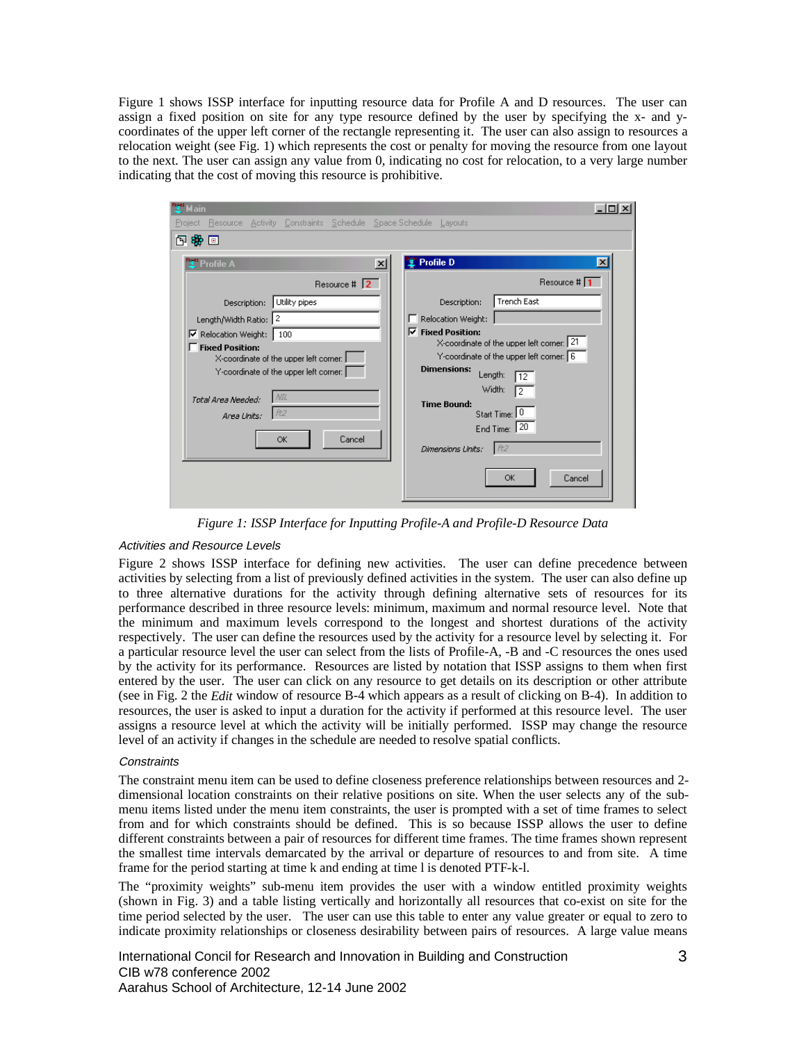Figure 1 shows ISSP interface for inputting resource data for Profile A and D resources. The user can assign a fixed position on site for any type resource defined by the user by specifying the x- and ycoordinates of the upper left corner of the rectangle representing it. The user can also assign to resources a relocation weight (see Fig. 1) which represents the cost or penalty for moving the resource from one layout to the next. The user can assign any value from 0, indicating no cost for relocation, to a very large number indicating that the cost of moving this resource is prohibitive.

| Resource Activity Constraints Schedule Space Schedule Layouts<br>Project                                                                                                                                                                                                                                                                                                                                                                                                                                                                                                                                                                                                           |                                           |
|------------------------------------------------------------------------------------------------------------------------------------------------------------------------------------------------------------------------------------------------------------------------------------------------------------------------------------------------------------------------------------------------------------------------------------------------------------------------------------------------------------------------------------------------------------------------------------------------------------------------------------------------------------------------------------|-------------------------------------------|
|                                                                                                                                                                                                                                                                                                                                                                                                                                                                                                                                                                                                                                                                                    |                                           |
| 內密回                                                                                                                                                                                                                                                                                                                                                                                                                                                                                                                                                                                                                                                                                |                                           |
| <b>Profile D</b><br>Profile A<br>$\times$<br>Resource $\sharp$ 2<br><b>Trench East</b><br>Utility pipes<br>Description:<br>Description:<br>Length/Width Ratio: 2<br>Relocation Weight:<br>$\nabla$ Fixed Position:<br>Relocation Weight:<br>100<br>X-coordinate of the upper left corner: 21<br><b>Fixed Position:</b><br>Y-coordinate of the upper left corner: 6<br>X-coordinate of the upper left corner:<br><b>Dimensions:</b><br>Y-coordinate of the upper left corner:  <br>Length:<br>12<br>Width:<br>2<br>NIL<br>Total Area Needed:<br><b>Time Bound:</b><br>  允2<br>Start Time: 0<br>Area Units:<br>End Time: 20<br>Cancel<br>OK<br>ft2<br>Dimensions Units:<br><b>OK</b> | $\vert x \vert$<br>Resource # 1<br>Cancel |

*Figure 1: ISSP Interface for Inputting Profile-A and Profile-D Resource Data*

## Activities and Resource Levels

Figure 2 shows ISSP interface for defining new activities. The user can define precedence between activities by selecting from a list of previously defined activities in the system. The user can also define up to three alternative durations for the activity through defining alternative sets of resources for its performance described in three resource levels: minimum, maximum and normal resource level. Note that the minimum and maximum levels correspond to the longest and shortest durations of the activity respectively. The user can define the resources used by the activity for a resource level by selecting it. For a particular resource level the user can select from the lists of Profile-A, -B and -C resources the ones used by the activity for its performance. Resources are listed by notation that ISSP assigns to them when first entered by the user. The user can click on any resource to get details on its description or other attribute (see in Fig. 2 the *Edit* window of resource B-4 which appears as a result of clicking on B-4). In addition to resources, the user is asked to input a duration for the activity if performed at this resource level. The user assigns a resource level at which the activity will be initially performed. ISSP may change the resource level of an activity if changes in the schedule are needed to resolve spatial conflicts.

## **Constraints**

The constraint menu item can be used to define closeness preference relationships between resources and 2 dimensional location constraints on their relative positions on site. When the user selects any of the submenu items listed under the menu item constraints, the user is prompted with a set of time frames to select from and for which constraints should be defined. This is so because ISSP allows the user to define different constraints between a pair of resources for different time frames. The time frames shown represent the smallest time intervals demarcated by the arrival or departure of resources to and from site. A time frame for the period starting at time k and ending at time l is denoted PTF-k-l.

The "proximity weights" sub-menu item provides the user with a window entitled proximity weights (shown in Fig. 3) and a table listing vertically and horizontally all resources that co-exist on site for the time period selected by the user. The user can use this table to enter any value greater or equal to zero to indicate proximity relationships or closeness desirability between pairs of resources. A large value means

International Concil for Research and Innovation in Building and Construction 3 CIB w78 conference 2002 Aarahus School of Architecture, 12-14 June 2002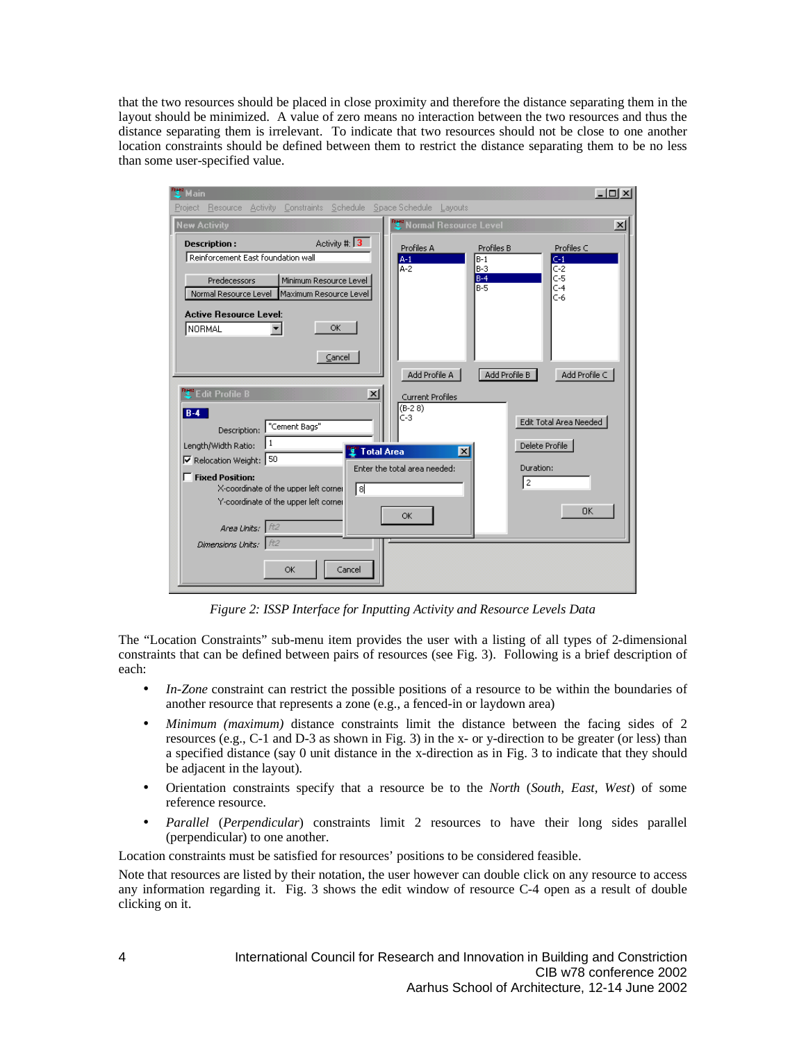that the two resources should be placed in close proximity and therefore the distance separating them in the layout should be minimized. A value of zero means no interaction between the two resources and thus the distance separating them is irrelevant. To indicate that two resources should not be close to one another location constraints should be defined between them to restrict the distance separating them to be no less than some user-specified value.

| <b>E</b> Main                         |                                                      |                                   |                         | $  $ $  $ $\times$ $ $  |
|---------------------------------------|------------------------------------------------------|-----------------------------------|-------------------------|-------------------------|
| Project                               | Resource Activity Constraints Schedule SpaceSchedule | Layouts                           |                         |                         |
| <b>New Activity</b>                   |                                                      | <b>Py</b> Normal Resource Level   |                         | $\vert x \vert$         |
| <b>Description:</b>                   | Activity #: $\boxed{3}$                              | Profiles A                        | Profiles B              | Profiles C              |
| Reinforcement East foundation wall    |                                                      | $A-1$<br>$A-2$                    | $B-1$<br>$B-3$          | $C-1$                   |
| Predecessors                          | Minimum Resource Level                               |                                   | $B-4$<br>$B-5$          | $C-2$<br>$C-5$<br>$C-4$ |
| Normal Resource Level                 | Maximum Resource Level                               |                                   |                         | $C-6$                   |
| <b>Active Resource Level:</b>         |                                                      |                                   |                         |                         |
| NORMAL<br>▼                           | OK                                                   |                                   |                         |                         |
|                                       | Cancel                                               |                                   |                         |                         |
|                                       |                                                      | Add Profile A                     | Add Profile B           | Add Profile C           |
| <b>TE</b> dit Profile B               | $\vert x \vert$                                      |                                   |                         |                         |
|                                       |                                                      | Current Profiles<br>$(B-28)$      |                         |                         |
| $B-4$<br>Description: "Cement Bags"   |                                                      | IC-3                              |                         | Edit Total Area Needed  |
| 1<br>Length/Width Ratio:              |                                                      |                                   |                         | Delete Profile          |
| Relocation Weight: 50                 |                                                      | <b>Total Area</b><br>$\mathsf{x}$ |                         |                         |
| Fixed Position:                       |                                                      | Enter the total area needed:      | Duration:<br>$\sqrt{2}$ |                         |
| X-coordinate of the upper left corner | [ब                                                   |                                   |                         |                         |
| Y-coordinate of the upper left corner |                                                      | <b>OK</b>                         |                         | <b>OK</b>               |
| Area Units:   ft2                     |                                                      |                                   |                         |                         |
| Dimensions Units: $\pm$ ft2           |                                                      |                                   |                         |                         |
|                                       | Cancel<br>OK                                         |                                   |                         |                         |
|                                       |                                                      |                                   |                         |                         |

*Figure 2: ISSP Interface for Inputting Activity and Resource Levels Data*

The "Location Constraints" sub-menu item provides the user with a listing of all types of 2-dimensional constraints that can be defined between pairs of resources (see Fig. 3). Following is a brief description of each:

- *In-Zone* constraint can restrict the possible positions of a resource to be within the boundaries of another resource that represents a zone (e.g., a fenced-in or laydown area)
- *Minimum (maximum)* distance constraints limit the distance between the facing sides of 2 resources (e.g., C-1 and D-3 as shown in Fig. 3) in the x- or y-direction to be greater (or less) than a specified distance (say 0 unit distance in the x-direction as in Fig. 3 to indicate that they should be adjacent in the layout).
- Orientation constraints specify that a resource be to the *North* (*South, East, West*) of some reference resource.
- *Parallel* (*Perpendicular*) constraints limit 2 resources to have their long sides parallel (perpendicular) to one another.

Location constraints must be satisfied for resources' positions to be considered feasible.

Note that resources are listed by their notation, the user however can double click on any resource to access any information regarding it. Fig. 3 shows the edit window of resource C-4 open as a result of double clicking on it.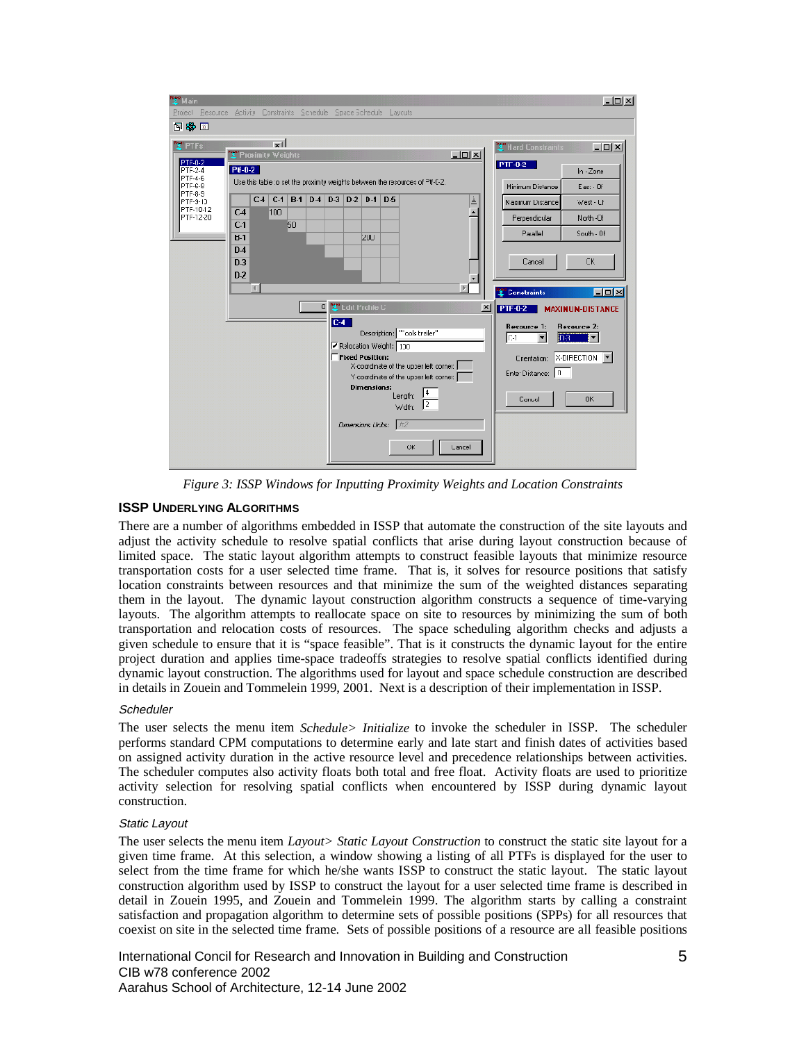

*Figure 3: ISSP Windows for Inputting Proximity Weights and Location Constraints*

# **ISSP UNDERLYING ALGORITHMS**

There are a number of algorithms embedded in ISSP that automate the construction of the site layouts and adjust the activity schedule to resolve spatial conflicts that arise during layout construction because of limited space. The static layout algorithm attempts to construct feasible layouts that minimize resource transportation costs for a user selected time frame. That is, it solves for resource positions that satisfy location constraints between resources and that minimize the sum of the weighted distances separating them in the layout. The dynamic layout construction algorithm constructs a sequence of time-varying layouts. The algorithm attempts to reallocate space on site to resources by minimizing the sum of both transportation and relocation costs of resources. The space scheduling algorithm checks and adjusts a given schedule to ensure that it is "space feasible". That is it constructs the dynamic layout for the entire project duration and applies time-space tradeoffs strategies to resolve spatial conflicts identified during dynamic layout construction. The algorithms used for layout and space schedule construction are described in details in Zouein and Tommelein 1999, 2001. Next is a description of their implementation in ISSP.

## **Scheduler**

The user selects the menu item *Schedule> Initialize* to invoke the scheduler in ISSP. The scheduler performs standard CPM computations to determine early and late start and finish dates of activities based on assigned activity duration in the active resource level and precedence relationships between activities. The scheduler computes also activity floats both total and free float. Activity floats are used to prioritize activity selection for resolving spatial conflicts when encountered by ISSP during dynamic layout construction.

## Static Layout

The user selects the menu item *Layout> Static Layout Construction* to construct the static site layout for a given time frame. At this selection, a window showing a listing of all PTFs is displayed for the user to select from the time frame for which he/she wants ISSP to construct the static layout. The static layout construction algorithm used by ISSP to construct the layout for a user selected time frame is described in detail in Zouein 1995, and Zouein and Tommelein 1999. The algorithm starts by calling a constraint satisfaction and propagation algorithm to determine sets of possible positions (SPPs) for all resources that coexist on site in the selected time frame. Sets of possible positions of a resource are all feasible positions

International Concil for Research and Innovation in Building and Construction 5 CIB w78 conference 2002 Aarahus School of Architecture, 12-14 June 2002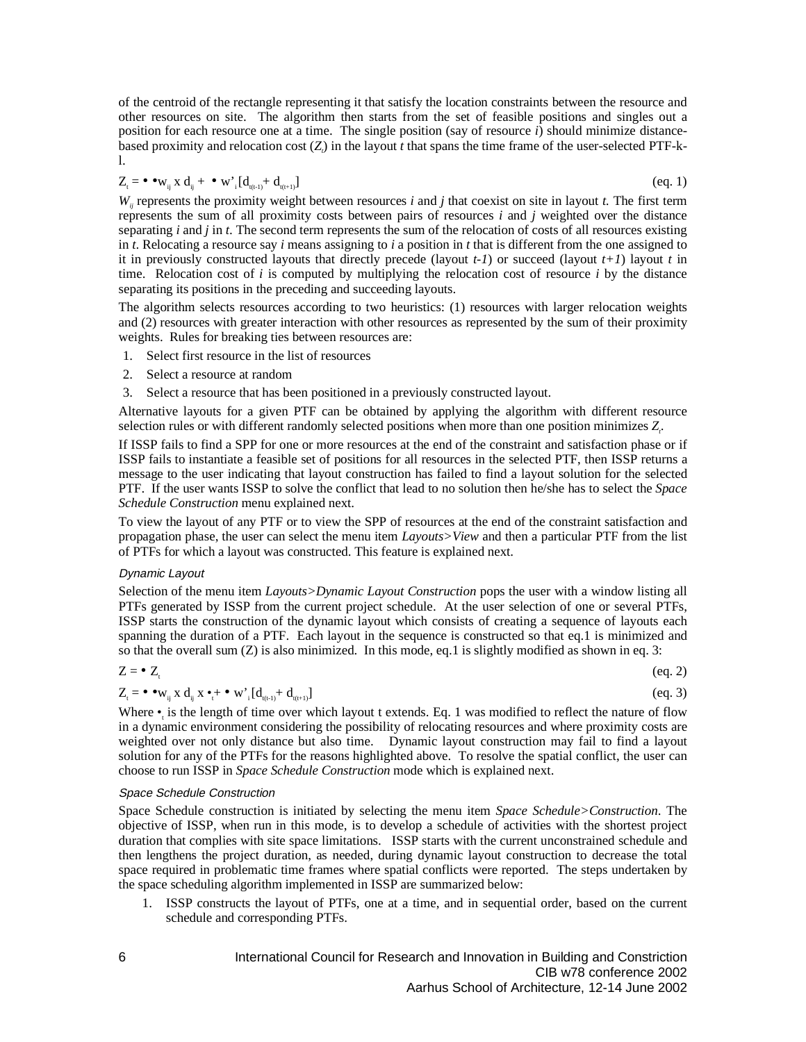of the centroid of the rectangle representing it that satisfy the location constraints between the resource and other resources on site. The algorithm then starts from the set of feasible positions and singles out a position for each resource one at a time. The single position (say of resource *i*) should minimize distancebased proximity and relocation cost (*Z*<sub>*)*</sub> in the layout *t* that spans the time frame of the user-selected PTF-kl.

$$
Z_{t} = \bullet \bullet w_{ij} \times d_{ij} + \bullet w'_{i} [d_{t_{(t-1)}} + d_{t_{(t+1)}}] \tag{eq.1}
$$

 $W_i$  represents the proximity weight between resources *i* and *j* that coexist on site in layout *t*. The first term represents the sum of all proximity costs between pairs of resources *i* and *j* weighted over the distance separating *i* and *j* in *t*. The second term represents the sum of the relocation of costs of all resources existing in *t*. Relocating a resource say *i* means assigning to *i* a position in *t* that is different from the one assigned to it in previously constructed layouts that directly precede (layout  $t-1$ ) or succeed (layout  $t+1$ ) layout  $t$  in time. Relocation cost of *i* is computed by multiplying the relocation cost of resource *i* by the distance separating its positions in the preceding and succeeding layouts.

The algorithm selects resources according to two heuristics: (1) resources with larger relocation weights and (2) resources with greater interaction with other resources as represented by the sum of their proximity weights. Rules for breaking ties between resources are:

- 1. Select first resource in the list of resources
- 2. Select a resource at random
- 3. Select a resource that has been positioned in a previously constructed layout.

Alternative layouts for a given PTF can be obtained by applying the algorithm with different resource selection rules or with different randomly selected positions when more than one position minimizes Z<sub>i</sub>.

If ISSP fails to find a SPP for one or more resources at the end of the constraint and satisfaction phase or if ISSP fails to instantiate a feasible set of positions for all resources in the selected PTF, then ISSP returns a message to the user indicating that layout construction has failed to find a layout solution for the selected PTF. If the user wants ISSP to solve the conflict that lead to no solution then he/she has to select the *Space Schedule Construction* menu explained next.

To view the layout of any PTF or to view the SPP of resources at the end of the constraint satisfaction and propagation phase, the user can select the menu item *Layouts>View* and then a particular PTF from the list of PTFs for which a layout was constructed. This feature is explained next.

## Dynamic Layout

Selection of the menu item *Layouts>Dynamic Layout Construction* pops the user with a window listing all PTFs generated by ISSP from the current project schedule. At the user selection of one or several PTFs, ISSP starts the construction of the dynamic layout which consists of creating a sequence of layouts each spanning the duration of a PTF. Each layout in the sequence is constructed so that eq.1 is minimized and so that the overall sum (Z) is also minimized. In this mode, eq.1 is slightly modified as shown in eq. 3:

$$
Z = \bullet Z_t \tag{eq. 2}
$$

$$
Z_{t} = \bullet \bullet w_{ij} \times d_{ij} \times \bullet_{t} + \bullet w'_{i} [d_{t_{(t-1)}} + d_{t_{(t+1)}}]
$$
\n
$$
(eq. 3)
$$

Where  $\bullet$ <sub>i</sub> is the length of time over which layout t extends. Eq. 1 was modified to reflect the nature of flow in a dynamic environment considering the possibility of relocating resources and where proximity costs are weighted over not only distance but also time. Dynamic layout construction may fail to find a layout solution for any of the PTFs for the reasons highlighted above. To resolve the spatial conflict, the user can choose to run ISSP in *Space Schedule Construction* mode which is explained next.

#### Space Schedule Construction

Space Schedule construction is initiated by selecting the menu item *Space Schedule>Construction*. The objective of ISSP, when run in this mode, is to develop a schedule of activities with the shortest project duration that complies with site space limitations. ISSP starts with the current unconstrained schedule and then lengthens the project duration, as needed, during dynamic layout construction to decrease the total space required in problematic time frames where spatial conflicts were reported. The steps undertaken by the space scheduling algorithm implemented in ISSP are summarized below:

1. ISSP constructs the layout of PTFs, one at a time, and in sequential order, based on the current schedule and corresponding PTFs.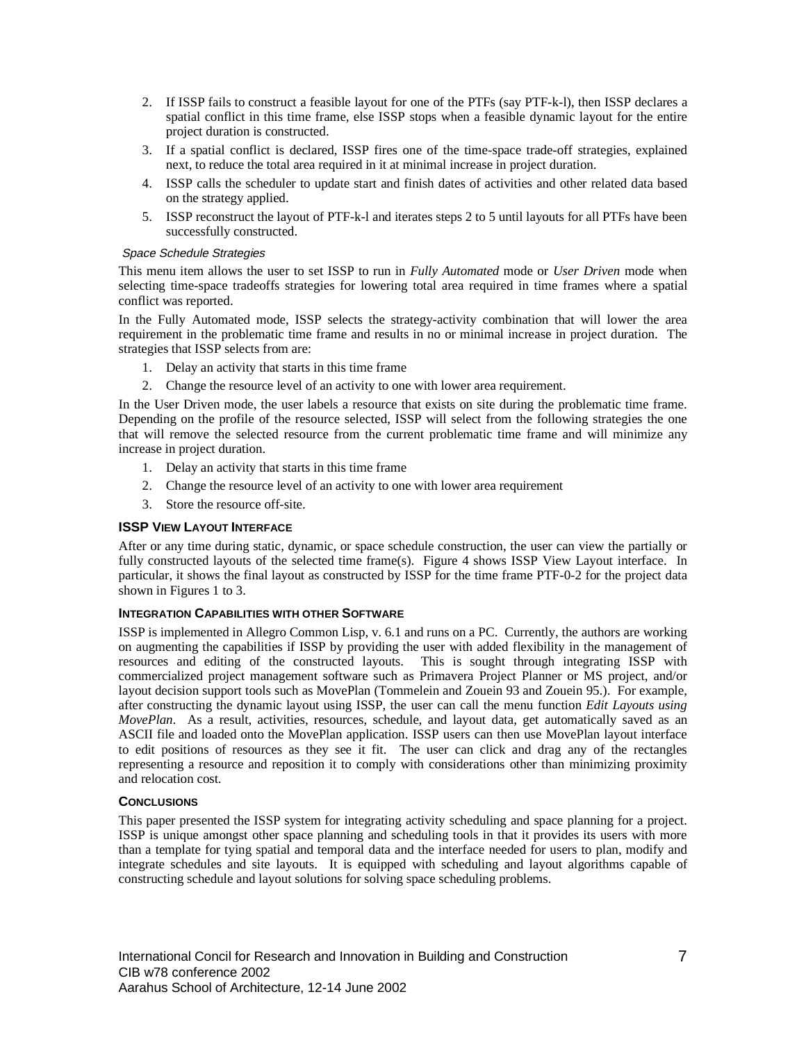- 2. If ISSP fails to construct a feasible layout for one of the PTFs (say PTF-k-l), then ISSP declares a spatial conflict in this time frame, else ISSP stops when a feasible dynamic layout for the entire project duration is constructed.
- 3. If a spatial conflict is declared, ISSP fires one of the time-space trade-off strategies, explained next, to reduce the total area required in it at minimal increase in project duration.
- 4. ISSP calls the scheduler to update start and finish dates of activities and other related data based on the strategy applied.
- 5. ISSP reconstruct the layout of PTF-k-l and iterates steps 2 to 5 until layouts for all PTFs have been successfully constructed.

#### Space Schedule Strategies

This menu item allows the user to set ISSP to run in *Fully Automated* mode or *User Driven* mode when selecting time-space tradeoffs strategies for lowering total area required in time frames where a spatial conflict was reported.

In the Fully Automated mode, ISSP selects the strategy-activity combination that will lower the area requirement in the problematic time frame and results in no or minimal increase in project duration. The strategies that ISSP selects from are:

- 1. Delay an activity that starts in this time frame
- 2. Change the resource level of an activity to one with lower area requirement.

In the User Driven mode, the user labels a resource that exists on site during the problematic time frame. Depending on the profile of the resource selected, ISSP will select from the following strategies the one that will remove the selected resource from the current problematic time frame and will minimize any increase in project duration.

- 1. Delay an activity that starts in this time frame
- 2. Change the resource level of an activity to one with lower area requirement
- 3. Store the resource off-site.

#### **ISSP VIEW LAYOUT INTERFACE**

After or any time during static, dynamic, or space schedule construction, the user can view the partially or fully constructed layouts of the selected time frame(s). Figure 4 shows ISSP View Layout interface. In particular, it shows the final layout as constructed by ISSP for the time frame PTF-0-2 for the project data shown in Figures 1 to 3.

#### **INTEGRATION CAPABILITIES WITH OTHER SOFTWARE**

ISSP is implemented in Allegro Common Lisp, v. 6.1 and runs on a PC. Currently, the authors are working on augmenting the capabilities if ISSP by providing the user with added flexibility in the management of resources and editing of the constructed layouts. This is sought through integrating ISSP with commercialized project management software such as Primavera Project Planner or MS project, and/or layout decision support tools such as MovePlan (Tommelein and Zouein 93 and Zouein 95.). For example, after constructing the dynamic layout using ISSP, the user can call the menu function *Edit Layouts using MovePlan*. As a result, activities, resources, schedule, and layout data, get automatically saved as an ASCII file and loaded onto the MovePlan application. ISSP users can then use MovePlan layout interface to edit positions of resources as they see it fit. The user can click and drag any of the rectangles representing a resource and reposition it to comply with considerations other than minimizing proximity and relocation cost.

## **CONCLUSIONS**

This paper presented the ISSP system for integrating activity scheduling and space planning for a project. ISSP is unique amongst other space planning and scheduling tools in that it provides its users with more than a template for tying spatial and temporal data and the interface needed for users to plan, modify and integrate schedules and site layouts. It is equipped with scheduling and layout algorithms capable of constructing schedule and layout solutions for solving space scheduling problems.